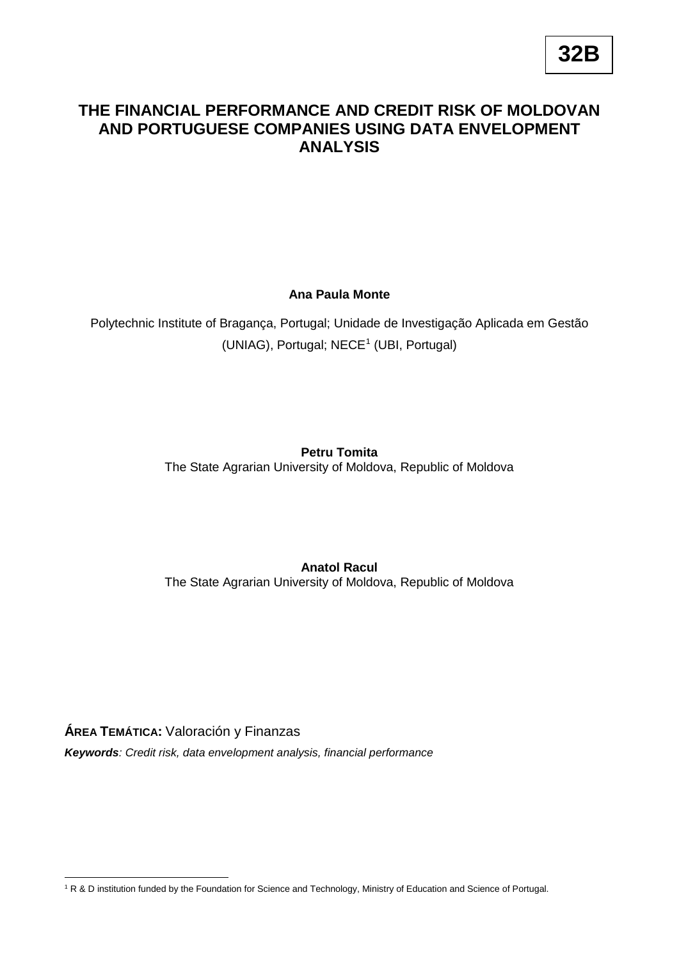# **THE FINANCIAL PERFORMANCE AND CREDIT RISK OF MOLDOVAN AND PORTUGUESE COMPANIES USING DATA ENVELOPMENT ANALYSIS**

**Ana Paula Monte**

Polytechnic Institute of Bragança, Portugal; Unidade de Investigação Aplicada em Gestão (UNIAG), Portugal; NECE<sup>[1](#page-0-0)</sup> (UBI, Portugal)

**Petru Tomita**

The State Agrarian University of Moldova, Republic of Moldova

**Anatol Racul** The State Agrarian University of Moldova, Republic of Moldova

**ÁREA TEMÁTICA:** Valoración y Finanzas

*Keywords: Credit risk, data envelopment analysis, financial performance*

<span id="page-0-0"></span><u>.</u> <sup>1</sup> R & D institution funded by the Foundation for Science and Technology, Ministry of Education and Science of Portugal.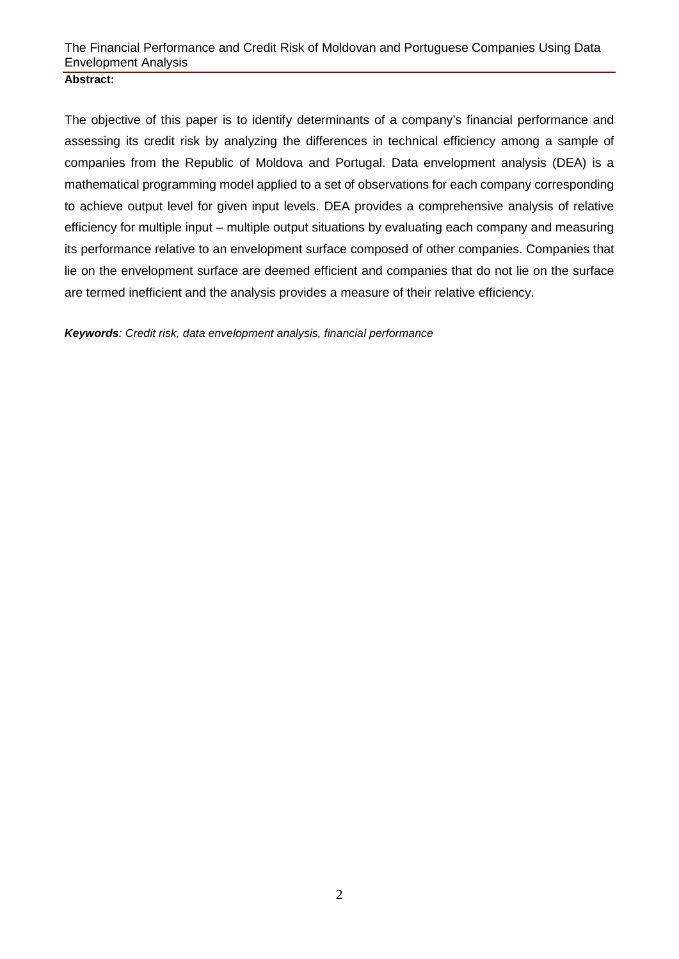#### **Abstract:**

The objective of this paper is to identify determinants of a company's financial performance and assessing its credit risk by analyzing the differences in technical efficiency among a sample of companies from the Republic of Moldova and Portugal. Data envelopment analysis (DEA) is a mathematical programming model applied to a set of observations for each company corresponding to achieve output level for given input levels. DEA provides a comprehensive analysis of relative efficiency for multiple input – multiple output situations by evaluating each company and measuring its performance relative to an envelopment surface composed of other companies. Companies that lie on the envelopment surface are deemed efficient and companies that do not lie on the surface are termed inefficient and the analysis provides a measure of their relative efficiency.

*Keywords: Credit risk, data envelopment analysis, financial performance*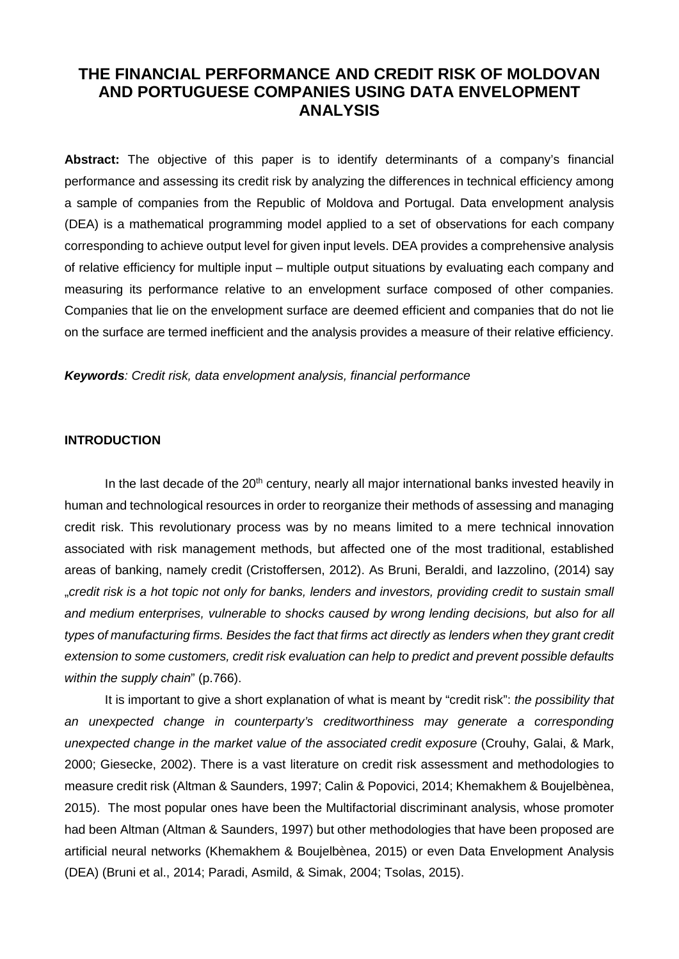# **THE FINANCIAL PERFORMANCE AND CREDIT RISK OF MOLDOVAN AND PORTUGUESE COMPANIES USING DATA ENVELOPMENT ANALYSIS**

**Abstract:** The objective of this paper is to identify determinants of a company's financial performance and assessing its credit risk by analyzing the differences in technical efficiency among a sample of companies from the Republic of Moldova and Portugal. Data envelopment analysis (DEA) is a mathematical programming model applied to a set of observations for each company corresponding to achieve output level for given input levels. DEA provides a comprehensive analysis of relative efficiency for multiple input – multiple output situations by evaluating each company and measuring its performance relative to an envelopment surface composed of other companies. Companies that lie on the envelopment surface are deemed efficient and companies that do not lie on the surface are termed inefficient and the analysis provides a measure of their relative efficiency.

*Keywords: Credit risk, data envelopment analysis, financial performance*

#### **INTRODUCTION**

In the last decade of the 20<sup>th</sup> century, nearly all major international banks invested heavily in human and technological resources in order to reorganize their methods of assessing and managing credit risk. This revolutionary process was by no means limited to a mere technical innovation associated with risk management methods, but affected one of the most traditional, established areas of banking, namely credit (Cristoffersen, 2012). As Bruni, Beraldi, and Iazzolino, (2014) say "*credit risk is a hot topic not only for banks, lenders and investors, providing credit to sustain small and medium enterprises, vulnerable to shocks caused by wrong lending decisions, but also for all types of manufacturing firms. Besides the fact that firms act directly as lenders when they grant credit extension to some customers, credit risk evaluation can help to predict and prevent possible defaults within the supply chain*" (p.766).

It is important to give a short explanation of what is meant by "credit risk": *the possibility that*  an unexpected change in counterparty's creditworthiness may generate a corresponding *unexpected change in the market value of the associated credit exposure* (Crouhy, Galai, & Mark, 2000; Giesecke, 2002). There is a vast literature on credit risk assessment and methodologies to measure credit risk (Altman & Saunders, 1997; Calin & Popovici, 2014; Khemakhem & Boujelbènea, 2015). The most popular ones have been the Multifactorial discriminant analysis, whose promoter had been Altman (Altman & Saunders, 1997) but other methodologies that have been proposed are artificial neural networks (Khemakhem & Boujelbènea, 2015) or even Data Envelopment Analysis (DEA) (Bruni et al., 2014; Paradi, Asmild, & Simak, 2004; Tsolas, 2015).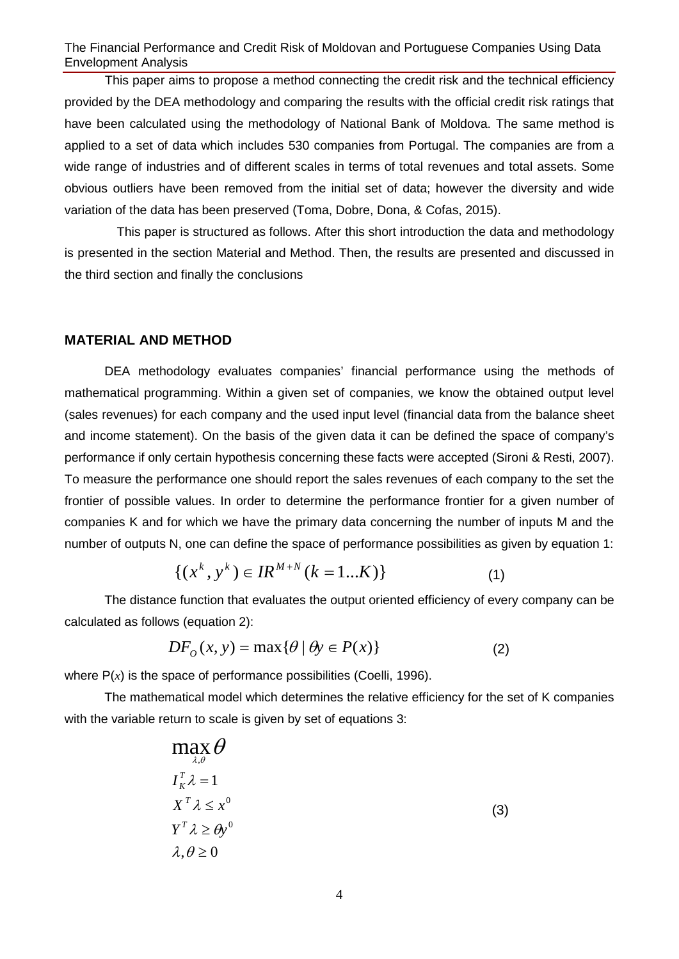This paper aims to propose a method connecting the credit risk and the technical efficiency provided by the DEA methodology and comparing the results with the official credit risk ratings that have been calculated using the methodology of National Bank of Moldova. The same method is applied to a set of data which includes 530 companies from Portugal. The companies are from a wide range of industries and of different scales in terms of total revenues and total assets. Some obvious outliers have been removed from the initial set of data; however the diversity and wide variation of the data has been preserved (Toma, Dobre, Dona, & Cofas, 2015).

 This paper is structured as follows. After this short introduction the data and methodology is presented in the section Material and Method. Then, the results are presented and discussed in the third section and finally the conclusions

#### **MATERIAL AND METHOD**

DEA methodology evaluates companies' financial performance using the methods of mathematical programming. Within a given set of companies, we know the obtained output level (sales revenues) for each company and the used input level (financial data from the balance sheet and income statement). On the basis of the given data it can be defined the space of company's performance if only certain hypothesis concerning these facts were accepted (Sironi & Resti, 2007). To measure the performance one should report the sales revenues of each company to the set the frontier of possible values. In order to determine the performance frontier for a given number of companies K and for which we have the primary data concerning the number of inputs M and the number of outputs N, one can define the space of performance possibilities as given by equation 1:

$$
\{(x^k, y^k) \in IR^{M+N} \ (k=1...K)\}
$$
 (1)

The distance function that evaluates the output oriented efficiency of every company can be calculated as follows (equation 2):

$$
DFO(x, y) = \max{\lbrace \theta \mid \theta y \in P(x) \rbrace}
$$
 (2)

where  $P(x)$  is the space of performance possibilities (Coelli, 1996).

The mathematical model which determines the relative efficiency for the set of K companies with the variable return to scale is given by set of equations 3:

| $max \theta$<br>$\lambda, \theta$ |     |
|-----------------------------------|-----|
| $I_{\kappa}^T \lambda = 1$        |     |
| $X^T \lambda \leq x^0$            | (3) |
| $Y^T \lambda \ge \theta y^0$      |     |
| $\lambda, \theta \geq 0$          |     |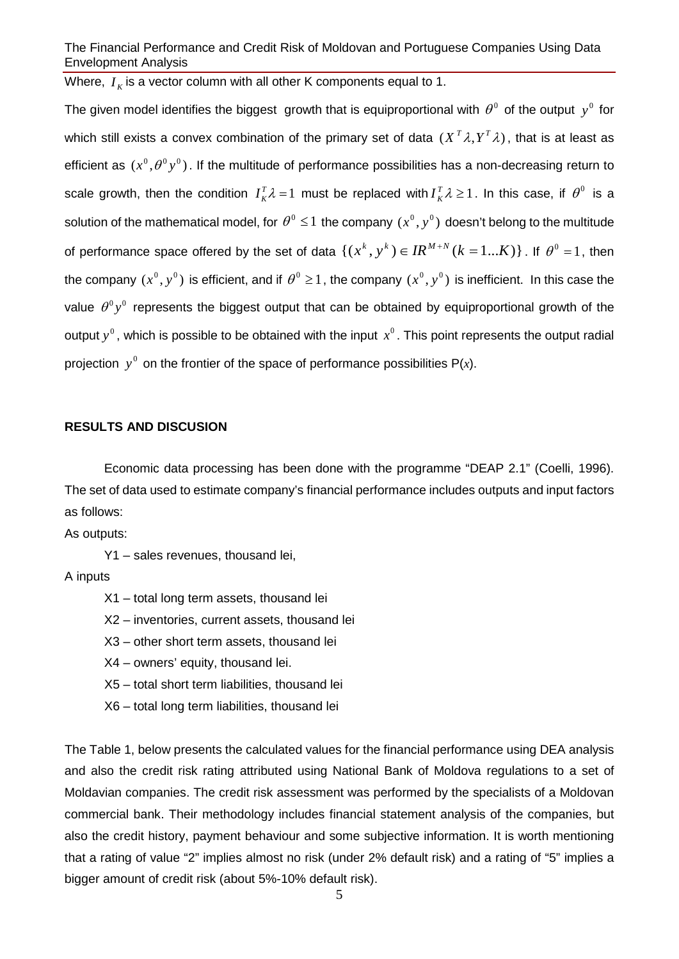Where,  $I_K$  is a vector column with all other K components equal to 1.

The given model identifies the biggest growth that is equiproportional with  $\theta^0$  of the output  $y^0$  for which still exists a convex combination of the primary set of data  $(X<sup>T</sup> \lambda, Y<sup>T</sup> \lambda)$ , that is at least as efficient as  $(x^0, \theta^0 y^0)$ . If the multitude of performance possibilities has a non-decreasing return to scale growth, then the condition  $I_K^T \lambda = 1$  must be replaced with  $I_K^T \lambda \ge 1$ . In this case, if  $\theta^0$  is a solution of the mathematical model, for  $\theta^0 \le 1$  the company  $(x^0, y^0)$  doesn't belong to the multitude of performance space offered by the set of data  $\{(x^k, y^k) \in IR^{M+N} (k=1...K)\}\$ . If  $\theta^0 = 1$ , then the company  $(x^0, y^0)$  is efficient, and if  $\theta^0 \ge 1$ , the company  $(x^0, y^0)$  is inefficient. In this case the value  $\theta^0 v^0$  represents the biggest output that can be obtained by equiproportional growth of the output  $y^0$ , which is possible to be obtained with the input  $x^0$ . This point represents the output radial projection  $y^0$  on the frontier of the space of performance possibilities P(*x*).

#### **RESULTS AND DISCUSION**

Economic data processing has been done with the programme "DEAP 2.1" (Coelli, 1996). The set of data used to estimate company's financial performance includes outputs and input factors as follows:

As outputs:

Y1 – sales revenues, thousand lei,

A inputs

- X1 total long term assets, thousand lei
- X2 inventories, current assets, thousand lei
- X3 other short term assets, thousand lei
- X4 owners' equity, thousand lei.
- X5 total short term liabilities, thousand lei
- X6 total long term liabilities, thousand lei

The [Table 1,](#page-5-0) below presents the calculated values for the financial performance using DEA analysis and also the credit risk rating attributed using National Bank of Moldova regulations to a set of Moldavian companies. The credit risk assessment was performed by the specialists of a Moldovan commercial bank. Their methodology includes financial statement analysis of the companies, but also the credit history, payment behaviour and some subjective information. It is worth mentioning that a rating of value "2" implies almost no risk (under 2% default risk) and a rating of "5" implies a bigger amount of credit risk (about 5%-10% default risk).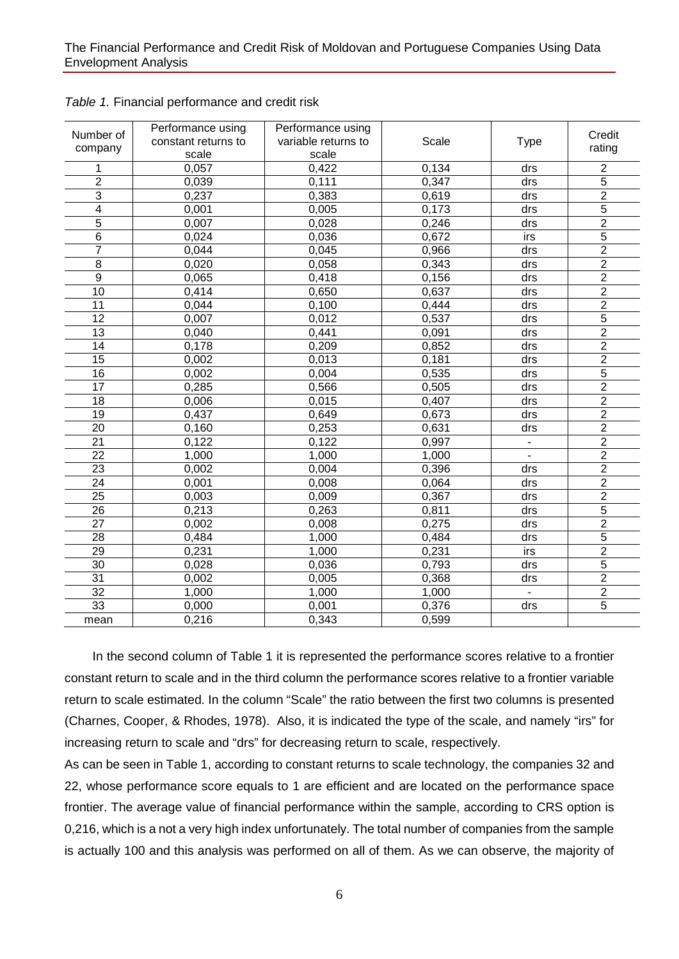| Number of<br>company    | Performance using<br>constant returns to<br>scale | Performance using<br>variable returns to<br>scale | Scale        | <b>Type</b>    | Credit<br>rating |
|-------------------------|---------------------------------------------------|---------------------------------------------------|--------------|----------------|------------------|
| 1                       | 0,057                                             | 0,422                                             | 0,134        | drs            | $\overline{c}$   |
| $\overline{c}$          | 0,039                                             | 0,111                                             | 0,347<br>drs |                | 5                |
| $\overline{3}$          | 0,237                                             | 0,383                                             | 0,619        | drs            | $\overline{2}$   |
| $\overline{\mathbf{4}}$ | 0,001                                             | 0,005                                             | 0,173        | drs            | $\overline{5}$   |
| 5                       | 0,007                                             | 0,028                                             | 0,246        | drs            | $\overline{2}$   |
| $\,6$                   | 0,024                                             | 0,036                                             | 0,672        | irs            | $\overline{5}$   |
| $\overline{7}$          | 0,044                                             | 0,045                                             | 0,966        | drs            | $\overline{2}$   |
| 8                       | 0,020                                             | 0,058                                             | 0,343        | drs            | $\overline{2}$   |
| $\overline{9}$          | 0,065                                             | 0,418                                             | 0,156        | drs            | $\overline{2}$   |
| 10                      | 0,414                                             | 0,650                                             | 0,637        | drs            | $\overline{2}$   |
| 11                      | 0,044                                             | 0,100                                             | 0,444        | drs            | $\overline{2}$   |
| 12                      | 0,007                                             | 0,012                                             | 0,537        | drs            | $\overline{5}$   |
| 13                      | 0,040                                             | 0,441                                             | 0,091        | drs            | $\overline{2}$   |
| $\overline{14}$         | 0,178                                             | 0,209                                             | 0,852        | drs            | $\overline{2}$   |
| $\overline{15}$         | 0,002                                             | 0,013                                             | 0,181        | drs            | $\overline{2}$   |
| $\overline{16}$         | 0,002                                             | 0,004                                             | 0,535        | drs            | $\overline{5}$   |
| 17                      | 0,285                                             | 0,566                                             | 0,505        | drs            | $\overline{2}$   |
| 18                      | 0,006                                             | 0,015                                             | 0,407        | drs            | $\overline{2}$   |
| 19                      | 0,437                                             | 0,649                                             | 0,673        | drs            | $\overline{2}$   |
| 20                      | 0,160                                             | 0,253                                             | 0,631        | drs            | $\overline{2}$   |
| 21                      | 0,122                                             | 0,122                                             | 0,997        | $\blacksquare$ | $\overline{2}$   |
| 22                      | 1,000                                             | 1,000                                             | 1,000        | $\blacksquare$ | $\overline{2}$   |
| 23                      | 0,002                                             | 0,004                                             | 0,396        | drs            | $\overline{2}$   |
| 24                      | 0,001                                             | 0,008                                             | 0,064        | drs            | $\overline{2}$   |
| 25                      | 0,003                                             | 0,009                                             | 0,367        | drs            | $\overline{2}$   |
| 26                      | 0,213                                             | 0,263                                             | 0,811        | drs            | $\overline{5}$   |
| 27                      | 0,002                                             | 0,008                                             | 0,275        | drs            | $\overline{2}$   |
| 28                      | 0,484                                             | 1,000                                             | 0,484        | drs            | $\overline{5}$   |
| 29                      | 0,231                                             | 1,000                                             | 0,231        | irs            | $\overline{2}$   |
| 30                      | 0,028                                             | 0,036                                             | 0,793        | drs            | $\overline{5}$   |
| 31                      | 0,002                                             | 0,005                                             | 0,368        | drs            | $\overline{2}$   |
| 32                      | 1,000                                             | 1,000                                             | 1,000        | $\blacksquare$ | $\overline{2}$   |
| 33                      | 0,000                                             | 0,001                                             | 0,376        | drs            | $\overline{5}$   |
| mean                    | 0,216                                             | 0,343                                             | 0,599        |                |                  |

<span id="page-5-1"></span><span id="page-5-0"></span>

 In the second column of [Table 1](#page-5-0) it is represented the performance scores relative to a frontier constant return to scale and in the third column the performance scores relative to a frontier variable return to scale estimated. In the column "Scale" the ratio between the first two columns is presented (Charnes, Cooper, & Rhodes, 1978). Also, it is indicated the type of the scale, and namely "irs" for increasing return to scale and "drs" for decreasing return to scale, respectively.

As can be seen in [Table 1,](#page-5-0) according to constant returns to scale technology, the companies 32 and 22, whose performance score equals to 1 are efficient and are located on the performance space frontier. The average value of financial performance within the sample, according to CRS option is 0,216, which is a not a very high index unfortunately. The total number of companies from the sample is actually 100 and this analysis was performed on all of them. As we can observe, the majority of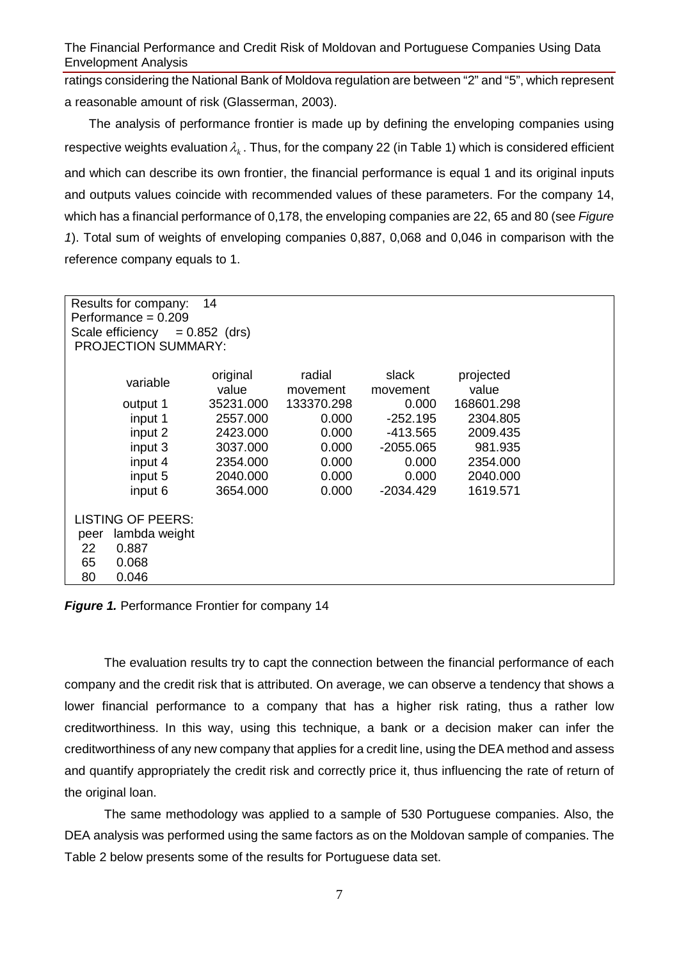ratings considering the National Bank of Moldova regulation are between "2" and "5", which represent a reasonable amount of risk (Glasserman, 2003).

 The analysis of performance frontier is made up by defining the enveloping companies using respective weights evaluation  $\lambda_k$ . Thus, for the company 22 (in [Table 1\)](#page-5-1) which is considered efficient and which can describe its own frontier, the financial performance is equal 1 and its original inputs and outputs values coincide with recommended values of these parameters. For the company 14, which has a financial performance of 0,178, the enveloping companies are 22, 65 and 80 (see *[Figure](#page-6-0)  [1](#page-6-0)*). Total sum of weights of enveloping companies 0,887, 0,068 and 0,046 in comparison with the reference company equals to 1.

| 14<br>Results for company:<br>Performance = $0.209$<br>Scale efficiency $= 0.852$ (drs)<br><b>PROJECTION SUMMARY:</b> |                   |                    |                   |                    |  |
|-----------------------------------------------------------------------------------------------------------------------|-------------------|--------------------|-------------------|--------------------|--|
| variable                                                                                                              | original<br>value | radial<br>movement | slack<br>movement | projected<br>value |  |
| output 1                                                                                                              | 35231.000         | 133370.298         | 0.000             | 168601.298         |  |
| input 1                                                                                                               | 2557.000          | 0.000              | $-252.195$        | 2304.805           |  |
| input 2                                                                                                               | 2423.000          | 0.000              | $-413.565$        | 2009.435           |  |
| input 3                                                                                                               | 3037.000          | 0.000              | $-2055.065$       | 981.935            |  |
| input 4                                                                                                               | 2354.000          | 0.000              | 0.000             | 2354,000           |  |
| input 5                                                                                                               | 2040.000          | 0.000              | 0.000             | 2040.000           |  |
| input 6                                                                                                               | 3654.000          | 0.000              | -2034.429         | 1619.571           |  |
| <b>LISTING OF PEERS:</b>                                                                                              |                   |                    |                   |                    |  |
| lambda weight<br>peer                                                                                                 |                   |                    |                   |                    |  |
| 22<br>0.887                                                                                                           |                   |                    |                   |                    |  |
| 65<br>0.068                                                                                                           |                   |                    |                   |                    |  |
| 0.046<br>80                                                                                                           |                   |                    |                   |                    |  |

<span id="page-6-0"></span>*Figure 1.* Performance Frontier for company 14

The evaluation results try to capt the connection between the financial performance of each company and the credit risk that is attributed. On average, we can observe a tendency that shows a lower financial performance to a company that has a higher risk rating, thus a rather low creditworthiness. In this way, using this technique, a bank or a decision maker can infer the creditworthiness of any new company that applies for a credit line, using the DEA method and assess and quantify appropriately the credit risk and correctly price it, thus influencing the rate of return of the original loan.

The same methodology was applied to a sample of 530 Portuguese companies. Also, the DEA analysis was performed using the same factors as on the Moldovan sample of companies. The [Table 2](#page-7-0) below presents some of the results for Portuguese data set.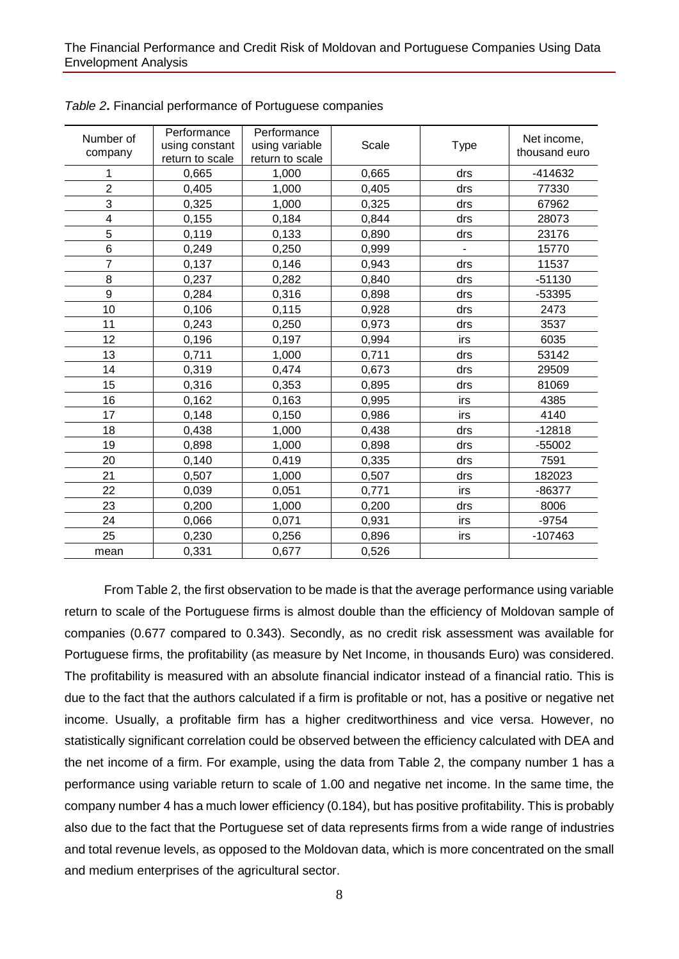| Number of<br>company    | Performance<br>using constant<br>return to scale | Performance<br>using variable<br>return to scale | Scale | <b>Type</b> | Net income,<br>thousand euro |
|-------------------------|--------------------------------------------------|--------------------------------------------------|-------|-------------|------------------------------|
| 1                       | 0,665                                            | 1,000                                            | 0,665 | drs         | $-414632$                    |
| $\overline{2}$          | 0,405                                            | 1,000                                            | 0,405 | drs         | 77330                        |
| 3                       | 0,325                                            | 1,000                                            | 0,325 | drs         | 67962                        |
| $\overline{\mathbf{4}}$ | 0,155                                            | 0,184                                            | 0,844 | drs         | 28073                        |
| 5                       | 0,119                                            | 0,133                                            | 0,890 | drs         | 23176                        |
| 6                       | 0,249                                            | 0,250                                            | 0,999 |             | 15770                        |
| 7                       | 0,137                                            | 0,146                                            | 0,943 | drs         | 11537                        |
| 8                       | 0,237                                            | 0,282                                            | 0,840 | drs         | $-51130$                     |
| 9                       | 0,284                                            | 0,316                                            | 0,898 | drs         | -53395                       |
| 10                      | 0,106                                            | 0,115                                            | 0,928 | drs         | 2473                         |
| 11                      | 0,243                                            | 0,250                                            | 0,973 | drs         | 3537                         |
| 12                      | 0,196                                            | 0,197                                            | 0,994 | irs         | 6035                         |
| 13                      | 0,711                                            | 1,000                                            | 0,711 | drs         | 53142                        |
| 14                      | 0,319                                            | 0,474                                            | 0,673 | drs         | 29509                        |
| 15                      | 0,316                                            | 0,353                                            | 0,895 | drs         | 81069                        |
| 16                      | 0,162                                            | 0,163                                            | 0,995 | irs         | 4385                         |
| 17                      | 0,148                                            | 0,150                                            | 0,986 | irs         | 4140                         |
| 18                      | 0,438                                            | 1,000                                            | 0,438 | drs         | $-12818$                     |
| 19                      | 0,898                                            | 1,000                                            | 0,898 | drs         | $-55002$                     |
| 20                      | 0,140                                            | 0,419                                            | 0,335 | drs         | 7591                         |
| 21                      | 0,507                                            | 1,000                                            | 0,507 | drs         | 182023                       |
| 22                      | 0,039                                            | 0,051                                            | 0,771 | irs         | $-86377$                     |
| 23                      | 0,200                                            | 1,000                                            | 0,200 | drs         | 8006                         |
| 24                      | 0,066                                            | 0,071                                            | 0,931 | irs         | $-9754$                      |
| 25                      | 0,230                                            | 0,256                                            | 0,896 | irs         | $-107463$                    |
| mean                    | 0,331                                            | 0,677                                            | 0,526 |             |                              |

<span id="page-7-0"></span>*Table 2***.** Financial performance of Portuguese companies

From [Table 2,](#page-7-0) the first observation to be made is that the average performance using variable return to scale of the Portuguese firms is almost double than the efficiency of Moldovan sample of companies (0.677 compared to 0.343). Secondly, as no credit risk assessment was available for Portuguese firms, the profitability (as measure by Net Income, in thousands Euro) was considered. The profitability is measured with an absolute financial indicator instead of a financial ratio. This is due to the fact that the authors calculated if a firm is profitable or not, has a positive or negative net income. Usually, a profitable firm has a higher creditworthiness and vice versa. However, no statistically significant correlation could be observed between the efficiency calculated with DEA and the net income of a firm. For example, using the data from [Table 2,](#page-7-0) the company number 1 has a performance using variable return to scale of 1.00 and negative net income. In the same time, the company number 4 has a much lower efficiency (0.184), but has positive profitability. This is probably also due to the fact that the Portuguese set of data represents firms from a wide range of industries and total revenue levels, as opposed to the Moldovan data, which is more concentrated on the small and medium enterprises of the agricultural sector.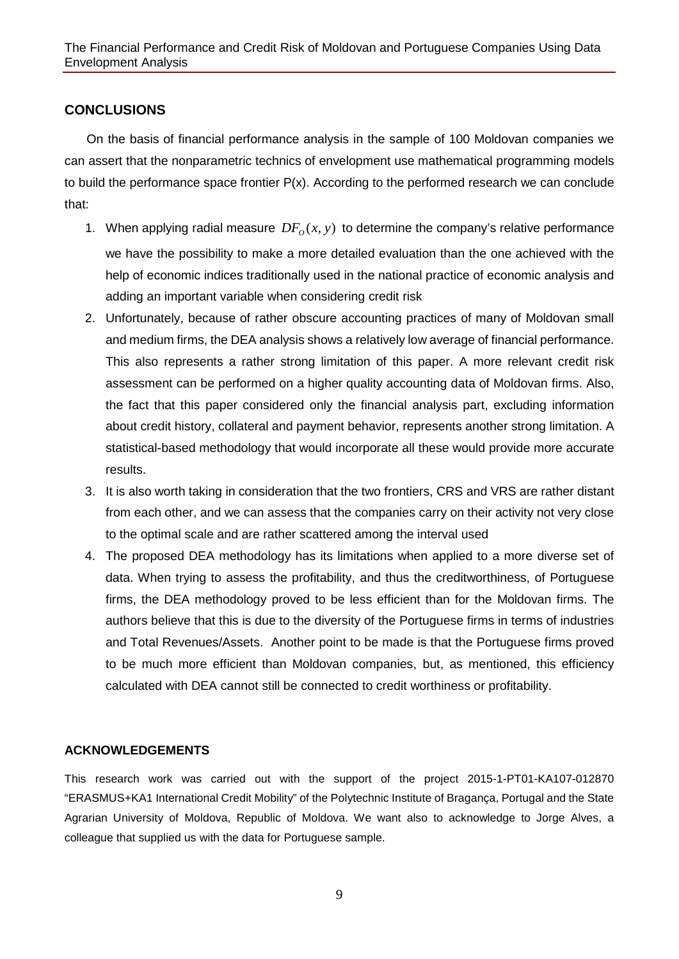## **CONCLUSIONS**

 On the basis of financial performance analysis in the sample of 100 Moldovan companies we can assert that the nonparametric technics of envelopment use mathematical programming models to build the performance space frontier P(x). According to the performed research we can conclude that:

- 1. When applying radial measure  $DF<sub>o</sub>(x, y)$  to determine the company's relative performance we have the possibility to make a more detailed evaluation than the one achieved with the help of economic indices traditionally used in the national practice of economic analysis and adding an important variable when considering credit risk
- 2. Unfortunately, because of rather obscure accounting practices of many of Moldovan small and medium firms, the DEA analysis shows a relatively low average of financial performance. This also represents a rather strong limitation of this paper. A more relevant credit risk assessment can be performed on a higher quality accounting data of Moldovan firms. Also, the fact that this paper considered only the financial analysis part, excluding information about credit history, collateral and payment behavior, represents another strong limitation. A statistical-based methodology that would incorporate all these would provide more accurate results.
- 3. It is also worth taking in consideration that the two frontiers, CRS and VRS are rather distant from each other, and we can assess that the companies carry on their activity not very close to the optimal scale and are rather scattered among the interval used
- 4. The proposed DEA methodology has its limitations when applied to a more diverse set of data. When trying to assess the profitability, and thus the creditworthiness, of Portuguese firms, the DEA methodology proved to be less efficient than for the Moldovan firms. The authors believe that this is due to the diversity of the Portuguese firms in terms of industries and Total Revenues/Assets. Another point to be made is that the Portuguese firms proved to be much more efficient than Moldovan companies, but, as mentioned, this efficiency calculated with DEA cannot still be connected to credit worthiness or profitability.

### **ACKNOWLEDGEMENTS**

This research work was carried out with the support of the project 2015-1-PT01-KA107-012870 "ERASMUS+KA1 International Credit Mobility" of the Polytechnic Institute of Bragança, Portugal and the State Agrarian University of Moldova, Republic of Moldova. We want also to acknowledge to Jorge Alves, a colleague that supplied us with the data for Portuguese sample.